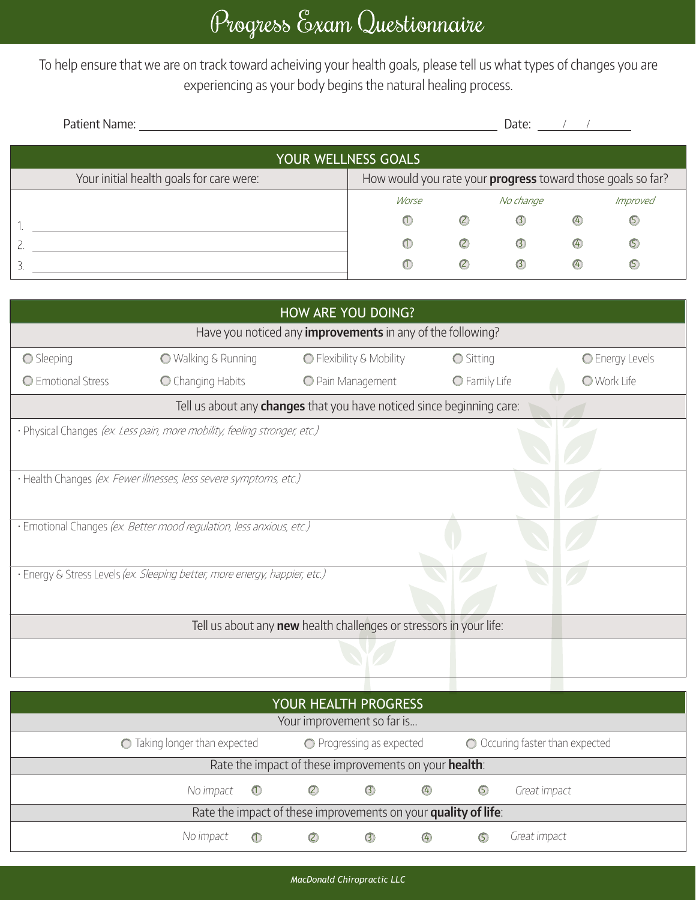To help ensure that we are on track toward acheiving your health goals, please tell us what types of changes you are experiencing as your body begins the natural healing process.

| Patient Name:                            | Date:                                                       |               |               |               |                |  |  |  |  |  |
|------------------------------------------|-------------------------------------------------------------|---------------|---------------|---------------|----------------|--|--|--|--|--|
| YOUR WELLNESS GOALS                      |                                                             |               |               |               |                |  |  |  |  |  |
| Your initial health goals for care were: | How would you rate your progress toward those goals so far? |               |               |               |                |  |  |  |  |  |
|                                          | Worse                                                       |               | No change     |               | Improved       |  |  |  |  |  |
|                                          | $^{\textcircled{\tiny{1}}}$                                 | $\circled{c}$ | $\odot$       | $\bigcirc$    | $\circledcirc$ |  |  |  |  |  |
|                                          | $\circ$                                                     | $\circled{c}$ | $\circled{3}$ | $\circled{4}$ | $\circ$        |  |  |  |  |  |
| 3                                        | $\omega$                                                    | $\circled{c}$ | $\circ$       | $\circled{4}$ | (5             |  |  |  |  |  |

| HOW ARE YOU DOING?                                                           |                                                                            |                          |                  |                    |  |  |  |  |
|------------------------------------------------------------------------------|----------------------------------------------------------------------------|--------------------------|------------------|--------------------|--|--|--|--|
| Have you noticed any <i>improvements</i> in any of the following?            |                                                                            |                          |                  |                    |  |  |  |  |
| Sleeping                                                                     | <b>O</b> Walking & Running                                                 | ◯ Flexibility & Mobility | <b>O</b> Sitting | C Energy Levels    |  |  |  |  |
| C Emotional Stress                                                           | C Changing Habits                                                          | O Pain Management        | O Family Life    | <b>O</b> Work Life |  |  |  |  |
| Tell us about any <b>changes</b> that you have noticed since beginning care: |                                                                            |                          |                  |                    |  |  |  |  |
|                                                                              | · Physical Changes (ex. Less pain, more mobility, feeling stronger, etc.)  |                          |                  |                    |  |  |  |  |
|                                                                              |                                                                            |                          |                  |                    |  |  |  |  |
| · Health Changes (ex. Fewer illnesses, less severe symptoms, etc.)           |                                                                            |                          |                  |                    |  |  |  |  |
|                                                                              |                                                                            |                          |                  |                    |  |  |  |  |
| · Emotional Changes (ex. Better mood regulation, less anxious, etc.)         |                                                                            |                          |                  |                    |  |  |  |  |
|                                                                              |                                                                            |                          |                  |                    |  |  |  |  |
|                                                                              | · Energy & Stress Levels (ex. Sleeping better, more energy, happier, etc.) |                          |                  |                    |  |  |  |  |
|                                                                              |                                                                            |                          |                  |                    |  |  |  |  |
| Tell us about any new health challenges or stressors in your life:           |                                                                            |                          |                  |                    |  |  |  |  |
|                                                                              |                                                                            |                          |                  |                    |  |  |  |  |
|                                                                              |                                                                            |                          |                  |                    |  |  |  |  |
|                                                                              |                                                                            |                          |                  |                    |  |  |  |  |

| <b>YOUR HEALTH PROGRESS</b>                                    |                                                            |                   |               |            |                                 |              |  |
|----------------------------------------------------------------|------------------------------------------------------------|-------------------|---------------|------------|---------------------------------|--------------|--|
| Your improvement so far is                                     |                                                            |                   |               |            |                                 |              |  |
|                                                                | ◯ Taking longer than expected<br>◯ Progressing as expected |                   |               |            | O Occuring faster than expected |              |  |
| Rate the impact of these improvements on your health:          |                                                            |                   |               |            |                                 |              |  |
| No impact                                                      | $\bigcirc$                                                 | $\circled{c}$     | $\circled{3}$ | $\bigcirc$ | $\circledcirc$                  | Great impact |  |
| Rate the impact of these improvements on your quality of life: |                                                            |                   |               |            |                                 |              |  |
| No impact                                                      | $\circ$                                                    | $\left( 2\right)$ | $\circ$       | $\circ$    | (5)                             | Great impact |  |